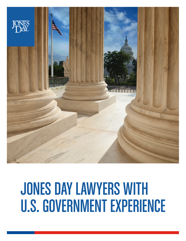

# JONES DAY LAWYERS WITH U.S. GOVERNMENT EXPERIENCE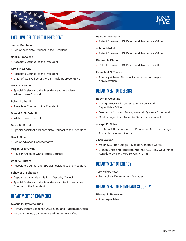

# EXECUTIVE OFFICE OF THE PRESIDENT

# James Burnham

• Senior Associate Counsel to the President

# Noel J. Francisco

• Associate Counsel to the President

# Kevin P. Garvey

- Associate Counsel to the President
- Chief of Staff, Office of the U.S. Trade Representative

# Sarah L. Levine

• Special Assistant to the President and Associate White House Counsel

# Robert Luther III

• Associate Counsel to the President

# Donald F. McGahn II

• White House Counsel

## David M. Morrell

• Special Assistant and Associate Counsel to the President

#### Dan T. Moss

• Senior Advance Representative

# Megan Lacy Owen

• Advisor, Office of White House Counsel

# Brian C. Rabbitt

• Associate Counsel and Special Assistant to the President

#### Schuyler J. Schouten

- Deputy Legal Advisor, National Security Council
- Special Assistant to the President and Senior Associate Counsel to the President

# DEPARTMENT OF COMMERCE

#### Akosua P. Kyereme-Tuah

- Primary Patent Examiner, U.S. Patent and Trademark Office
- Patent Examiner, U.S. Patent and Trademark Office

#### David M. Maiorana

• Patent Examiner, U.S. Patent and Trademark Office

# John A. Marlott

• Patent Examiner, U.S. Patent and Trademark Office

## Michael A. Oblon

• Patent Examiner, U.S. Patent and Trademark Office

# Kamaile A.N. Turčan

• Attorney-Advisor, National Oceanic and Atmospheric Administration

# DEPARTMENT OF DEFENSE

# Robyn B. Celestino

- Acting Director of Contracts, Air Force Rapid Capabilities Office
- Director of Contract Policy, Naval Air Systems Command
- Contracting Officer, Naval Air Systems Command

# Joseph E. Finley

• Lieutenant Commander and Prosecutor, U.S. Navy Judge Advocate General's Corps

# Jihan Walker

- Major, U.S. Army Judge Advocate General's Corps
- Branch Chief and Appellate Attorney, U.S. Army Government Appellate Division, Fort Belvoir, Virginia

# DEPARTMENT OF ENERGY

# Yury Kalish, Ph.D.

• Technology Development Manager

# DEPARTMENT OF HOMELAND SECURITY

# Michael R. Butowsky

• Attorney-Advisor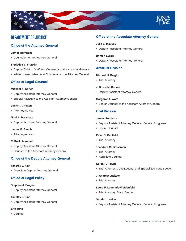

# DEPARTMENT OF JUSTICE

# Office of the Attorney General

#### James Burnham

• Counselor to the Attorney General

#### Shirlethia V. Franklin

- Deputy Chief of Staff and Counselor to the Attorney General
- White House Liaison and Counselor to the Attorney General

# Office of Legal Counsel

#### Michael A. Carvin

- Deputy Assistant Attorney General
- Special Assistant to the Assistant Attorney General

## Louis A. Chaiten

• Attorney-Advisor

#### Noel J. Francisco

• Deputy Assistant Attorney General

#### James E. Gauch

• Attorney-Advisor

#### C. Kevin Marshall

- Deputy Assistant Attorney General
- Counsel to the Assistant Attorney General

# Office of the Deputy Attorney General

#### Timothy J. Finn

• Associate Deputy Attorney General

# Office of Legal Policy

#### Stephen J. Brogan

• Deputy Assistant Attorney General

#### Timothy J. Finn

• Deputy Assistant Attorney General

#### Eric Tung

• Counsel

# Office of the Associate Attorney General

#### Julia E. McEvoy

• Deputy Associate Attorney General

#### Brinton Lucas

• Deputy Associate Attorney General

# Antitrust Division

## Michael H. Knight

• Trial Attorney

# J. Bruce McDonald

• Deputy Assistant Attorney General

## Margaret A. Ward

• Senior Counsel to the Assistant Attorney General

# Civil Division

#### James Burnham

- Deputy Assistant Attorney General, Federal Programs
- Senior Counsel

#### Peter C. Canfield

• Trial Attorney

#### Theodore M. Grossman

- Trial Attorney
- Appellate Counsel

#### Karen P. Hewitt

• Trial Attorney, Constitutional and Specialized Torts Section

#### J. Andrew Jackson

• Trial Attorney

# Laura F. Laemmle-Weidenfeld

• Trial Attorney, Fraud Section

#### Sarah L. Levine

• Deputy Assistant Attorney General, Federal Programs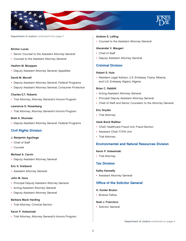

#### Brinton Lucas

- Senior Counsel to the Assistant Attorney General
- Counsel to the Assistant Attorney General

#### Hashim M. Mooppan

• Deputy Assistant Attorney General, Appellate

#### David M. Morrell

- Deputy Assistant Attorney General, Federal Programs
- Deputy Assistant Attorney General, Consumer Protection

# Charles E.T. Roberts

• Trial Attorney, Attorney General's Honors Program

#### Lawrence D. Rosenberg

• Trial Attorney, Attorney General's Honors Program

#### Brett A. Shumate

• Deputy Assistant Attorney General, Federal Programs

# Civil Rights Division

#### J. Benjamin Aguiñaga

- Chief of Staff
- Counsel

#### Michael A. Carvin

• Deputy Assistant Attorney General

#### Eric S. Dreiband

• Assistant Attorney General

#### John M. Gore

- Principal Deputy Assistant Attorney General
- Acting Assistant Attorney General
- Deputy Assistant Attorney General

#### Barbara Mack Harding

• Trial Attorney, Criminal Section

# Kevin P. Holewinski

• Trial Attorney, Attorney General's Honors Program

#### Andrew E. Lelling

• Counsel to the Assistant Attorney General

#### Alexander V. Maugeri

- Chief of Staff
- Deputy Assistant Attorney General

# Criminal Division

## Robert S. Huie

• Resident Legal Advisor, U.S. Embassy Tirana, Albania, and U.S. Embassy Algiers, Algeria

#### Brian C. Rabbitt

- Acting Assistant Attorney General
- Principal Deputy Assistant Attorney General
- Chief of Staff and Senior Counselor to the Attorney General

#### Eric Snyder

• Trial Attorney

#### Hank Bond Walther

- Chief, Healthcare Fraud Unit, Fraud Section
- Assistant Chief, FCPA Unit
- Trial Attorney

# Environmental and Natural Resources Division

#### Kevin P. Holewinski

• Trial Attorney

## Tax Division

#### Kathy Keneally

• Assistant Attorney General

# Office of the Solicitor General

#### H. Hunter Bruton

• Bristow Fellow

#### Noel J. Francisco

• Solicitor General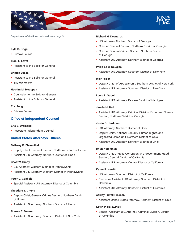

#### Kyle B. Grigel

• Bristow Fellow

# Traci L. Lovitt

• Assistant to the Solicitor General

#### Brinton Lucas

- Assistant to the Solicitor General
- Bristow Fellow

#### Hashim M. Mooppan

- Counselor to the Solicitor General
- Assistant to the Solicitor General

#### Eric Tung

• Bristow Fellow

# Office of Independent Counsel

#### Eric S. Dreiband

• Associate Independent Counsel

# United States Attorneys' Offices

#### Bethany K. Biesenthal

- Deputy Chief, Criminal Division, Northern District of Illinois
- Assistant U.S. Attorney, Northern District of Illinois

#### Scott W. Brady

- U.S. Attorney, Western District of Pennsylvania
- Assistant U.S. Attorney, Western District of Pennsylvania

#### Peter C. Canfield

• Special Assistant U.S. Attorney, District of Columbia

#### Theodore T. Chung

- Deputy Chief, General Crimes Section, Northern District of Illinois
- Assistant U.S. Attorney, Northern District of Illinois

#### Roman E. Darmer

• Assistant U.S. Attorney, Southern District of New York

#### Richard H. Deane, Jr.

- U.S. Attorney, Northern District of Georgia
- Chief of Criminal Division, Northern District of Georgia
- Chief of General Crimes Section, Northern District of Georgia
- Assistant U.S. Attorney, Northern District of Georgia

## Philip Le B. Douglas

• Assistant U.S. Attorney, Southern District of New York

#### Meir Feder

- Deputy Chief of Appeals Unit, Southern District of New York
- Assistant U.S. Attorney, Southern District of New York

#### Louis P. Gabel

• Assistant U.S. Attorney, Eastern District of Michigan

#### Jamila M. Hall

• Assistant U.S. Attorney, Criminal Division, Economic Crimes Section, Northern District of Georgia

#### Justin E. Herdman

- U.S. Attorney, Northern District of Ohio
- Deputy Chief, National Security, Human Rights, and Organized Crime Unit, Northern District of Ohio
- Assistant U.S. Attorney, Northern District of Ohio

#### Brian Hershman

- Deputy Chief, Public Corruption and Government Fraud Section, Central District of California
- Assistant U.S. Attorney, Central District of California

#### Karen P. Hewitt

- U.S. Attorney, Southern District of California
- Executive Assistant U.S. Attorney, Southern District of California
- Assistant U.S. Attorney, Southern District of California

#### Ashley Futrell Hinkson

• Assistant United States Attorney, Northern District of Ohio

# Kevin P. Holewinski

• Special Assistant U.S. Attorney, Criminal Division, District of Columbia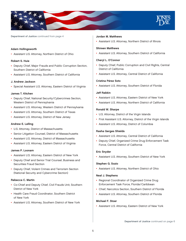

#### Adam Hollingsworth

• Assistant U.S. Attorney, Northern District of Ohio

#### Robert S. Huie

- Deputy Chief, Major Frauds and Public Corruption Section, Southern District of California
- Assistant U.S. Attorney, Southern District of California

#### J. Andrew Jackson

• Special Assistant U.S. Attorney, Eastern District of Virginia

#### James T. Kitchen

- Deputy Chief, National Security /Cybercrimes Section, Western District of Pennsylvania
- Assistant U.S. Attorney, Western District of Pennsylvania
- Assistant U.S. Attorney, Southern District of Texas
- Assistant U.S. Attorney, District of New Jersey

#### Andrew E. Lelling

- U.S. Attorney, District of Massachusetts
- Senior Litigation Counsel, District of Massachusetts
- Assistant U.S. Attorney, District of Massachusetts
- Assistant U.S. Attorney, Eastern District of Virginia

# James P. Loonam

- Assistant U.S. Attorney, Eastern District of New York
- Deputy Chief and Senior Trial Counsel, Business and Securities Fraud Section
- Deputy Chief, Violent Crimes and Terrorism Section (National Security and Cybercrime Section)

# Rebecca C. Martin

- Co-Chief and Deputy Chief, Civil Frauds Unit, Southern District of New York
- Health Care Fraud Coordinator, Southern District of New York
- Assistant U.S. Attorney, Southern District of New York

#### Jordan M. Matthews

• Assistant U.S. Attorney, Northern District of Illinois

# Shireen Matthews

• Assistant U.S. Attorney, Southern District of California

#### Cheryl L. O'Connor

- Deputy Chief, Public Corruption and Civil Rights, Central District of California
- Assistant U.S. Attorney, Central District of California

#### Cristina Pérez Soto

• Assistant U.S. Attorney, Southern District of Florida

## Jeff Rabkin

- Assistant U.S. Attorney, Eastern District of New York
- Assistant U.S. Attorney, Northern District of California

#### Ronald W. Sharpe

- U.S. Attorney, District of the Virgin Islands
- First Assistant U.S. Attorney, District of the Virgin Islands
- Assistant U.S. Attorney, District of Columbia

#### Rasha Gerges Shields

- Assistant U.S. Attorney, Central District of California
- Deputy Chief, Organized Crime Drug Enforcement Task Force, Central District of California

#### Eric Snyder

• Assistant U.S. Attorney, Southern District of New York

#### Stephen G. Sozio

• Assistant U.S. Attorney, Northern District of Ohio

#### Neal J. Stephens

- Regional Coordinator of Organized Crime Drug Enforcement Task Force, Florida/Caribbean
- Chief, Narcotics Section, Southern District of Florida
- Assistant U.S. Attorney, Southern District of Florida

## Michael F. Stoer

• Assistant U.S. Attorney, Eastern District of New York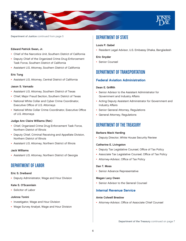

#### Edward Patrick Swan, Jr.

- Chief of the Narcotics Unit, Southern District of California
- Deputy Chief of the Organized Crime Drug Enforcement Task Force, Southern District of California
- Assistant U.S. Attorney, Southern District of California

#### Eric Tung

• Assistant U.S. Attorney, Central District of California

#### Jason S. Varnado

- Assistant U.S. Attorney, Southern District of Texas
- Chief, Major Fraud Section, Southern District of Texas
- National White Collar and Cyber Crime Coordinator, Executive Office of U.S. Attorneys
- National White Collar Crime Coordinator, Executive Office of U.S. Attorneys

#### Judge Ann Claire Williams (Ret.)

- Chief, Organized Crime Drug Enforcement Task Force, Northern District of Illinois
- Deputy Chief, Criminal Receiving and Appellate Division, Northern District of Illinois
- Assistant U.S. Attorney, Northern District of Illinois

## Jack Williams

• Assistant U.S. Attorney, Northern District of Georgia

# DEPARTMENT OF LABOR

#### Eric S. Dreiband

• Deputy Administrator, Wage and Hour Division

#### Kate S. O'Scannlain

• Solicitor of Labor

#### JoAnna Tonini

- Investigator, Wage and Hour Division
- Wage Survey Analyst, Wage and Hour Division

# DEPARTMENT OF STATE

# Louis P. Gabel

• Resident Legal Advisor, U.S. Embassy Dhaka, Bangladesh

#### Eric Snyder

• Senior Counsel

# DEPARTMENT OF TRANSPORTATION

# Federal Aviation Administration

#### Dean E. Griffith

- Senior Advisor to the Assistant Administrator for Government and Industry Affairs
- Acting Deputy Assistant Administrator for Government and Industry Affairs
- Senior General Attorney, Regulations
- General Attorney, Regulations

# DEPARTMENT OF THE TREASURY

#### Barbara Mack Harding

• Deputy Director, White House Security Review

#### Catherine E. Livingston

- Deputy Tax Legislative Counsel, Office of Tax Policy
- Associate Tax Legislative Counsel, Office of Tax Policy
- Attorney-Advisor, Office of Tax Policy

#### Dan T. Moss

• Senior Advance Representative

#### Megan Lacy Owen

• Senior Advisor to the General Counsel

# Internal Revenue Service

#### Amie Colwell Breslow

• Attorney-Advisor, Office of Associate Chief Counsel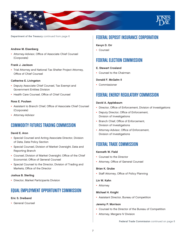

Department of the Treasury continued from page 6

#### Andrew M. Eisenberg

• Attorney-Advisor, Office of Associate Chief Counsel (Corporate)

#### Frank J. Jackson

• Trial Attorney and National Tax Shelter Project Attorney, Office of Chief Counsel

#### Catherine E. Livingston

- Deputy Associate Chief Counsel, Tax Exempt and Government Entities Division
- Health Care Counsel, Office of Chief Counsel

#### Ross E. Poulsen

- Assistant to Branch Chief, Office of Associate Chief Counsel (Corporate)
- Attorney-Advisor

# COMMODITY FUTURES TRADING COMMISSION

#### David E. Aron

- Special Counsel and Acting Associate Director, Division of Data, Data Policy Section
- Special Counsel, Division of Market Oversight, Data and Reporting Branch
- Counsel, Division of Market Oversight; Office of the Chief Economist; Office of General Counsel
- Special Counsel to the Director, Division of Trading and Markets, Office of the Director

#### Joshua B. Sterling

• Director, Market Participants Division

# EQUAL EMPLOYMENT OPPORTUNITY COMMISSION

#### Eric S. Dreiband

• General Counsel

# FEDERAL DEPOSIT INSURANCE CORPORATION

# Kevyn D. Orr

• Counsel

# FEDERAL ELECTION COMMISSION

# E. Stewart Crosland

• Counsel to the Chairman

#### Donald F. McGahn II

• Commissioner

# FEDERAL ENERGY REGULATORY COMMISSION

#### David A. Applebaum

- Director, Office of Enforcement, Division of Investigations
- Deputy Director, Office of Enforcement, Division of Investigations
- Branch Chief, Office of Enforcement, Division of Investigations
- Attorney-Advisor, Office of Enforcement, Division of Investigations

# FEDERAL TRADE COMMISSION

#### Kenneth W. Field

- Counsel to the Director
- Attorney, Office of General Counsel

#### Brian K. Grube

• Staff Attorney, Office of Policy Planning

# Lin W. Kahn

• Attorney

#### Michael H. Knight

• Assistant Director, Bureau of Competition

#### Jeremy P. Morrison

- Counsel to the Director of the Bureau of Competition
- Attorney, Mergers IV Division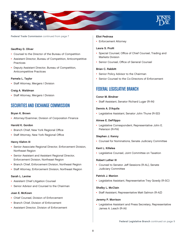

Federal Trade Commission continued from page 7

#### Geoffrey D. Oliver

- Counsel to the Director of the Bureau of Competition
- Assistant Director, Bureau of Competition, Anticompetitive **Practices**
- Deputy Assistant Director, Bureau of Competition, Anticompetitive Practices

#### Pamela L. Taylor

• Staff Attorney, Mergers I Division

#### Craig A. Waldman

• Staff Attorney, Mergers I Division

# SECURITIES AND EXCHANGE COMMISSION

#### Bryan K. Brown

• Attorney/Examiner, Division of Corporation Finance

## Harold K. Gordon

- Branch Chief, New York Regional Office
- Staff Attorney, New York Regional Office

#### Henry Klehm III

- Senior Associate Regional Director, Enforcement Division, Northeast Region
- Senior Assistant and Assistant Regional Director, Enforcement Division, Northeast Region
- Branch Chief, Enforcement Division, Northeast Region
- Staff Attorney, Enforcement Division, Northeast Region

#### Sarah L. Levine

- Assistant Chief Litigation Counsel
- Senior Advisor and Counsel to the Chairman

#### Joan E. McKown

- Chief Counsel, Division of Enforcement
- Branch Chief, Division of Enforcement
- Assistant Director, Division of Enforcement

#### Eliot Pedrosa

• Enforcement Attorney

## Laura S. Pruitt

- Special Counsel, Office of Chief Counsel, Trading and Markets Division
- Senior Counsel, Office of General Counsel

#### Brian C. Rabbitt

- Senior Policy Advisor to the Chairman
- Senior Counsel to the Co-Directors of Enforcement

# FEDERAL LEGISLATIVE BRANCH

#### Conor M. Bindner

• Staff Assistant, Senator Richard Lugar (R-IN)

#### Dennis A. D'Aquila

• Legislative Assistant, Senator John Thune (R-SD)

#### Aimee E. DeFilippo

• Legislative Correspondent, Representative John E. Peterson (R-PA)

#### Stephen J. Kenny

• Counsel for Nominations, Senate Judiciary Committee

#### Kent L. Killelea

• Legislative Counsel, Joint Committee on Taxation

#### Robert Luther III

• Counsel to Senator Jeff Sessions (R-AL), Senate Judiciary Committee

#### Patrick J. Manion

• Legislative Assistant, Representative Trey Gowdy (R-SC)

#### Shelby L. McClain

• Staff Assistant, Representative Matt Salmon (R-AZ)

#### Jeremy P. Morrison

• Legislative Assistant and Press Secretary, Representative James A. Leach (R-IA)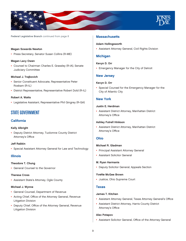

Federal Legislative Branch continued from page 8

#### Megan Sowards Newton

• Press Secretary, Senator Susan Collins (R-ME)

#### Megan Lacy Owen

• Counsel to Chairman Charles E. Grassley (R-IA), Senate Judiciary Committee

#### Michael J. Trajkovich

- Senior Constituent Advocate, Representative Peter Roskam (R-IL)
- District Representative, Representative Robert Dold (R-IL)

# Robert A. Watts

• Legislative Assistant, Representative Phil Gingrey (R-GA)

# STATE GOVERNMENT

# California

#### Kelly Albright

• Deputy District Attorney, Tuolomne County District Attorney's Office

#### Jeff Rabkin

• Special Assistant Attorney General for Law and Technology

# Illinois

#### Theodore T. Chung

• General Counsel to the Governor

#### Theresa Cross

• Assistant State's Attorney, Ogle County

#### Michael J. Wynne

- General Counsel, Department of Revenue
- Acting Chief, Office of the Attorney General, Revenue Litigation Division
- Deputy Chief, Office of the Attorney General, Revenue Litigation Division

# **Massachusetts**

#### Adam Hollingsworth

• Assistant Attorney General, Civil Rights Division

# **Michigan**

#### Kevyn D. Orr

• Emergency Manager for the City of Detroit

# New Jersey

#### Kevyn D. Orr

• Special Counsel for the Emergency Manager for the City of Atlantic City

# New York

# Justin E. Herdman

• Assistant District Attorney, Manhattan District Attorney's Office

#### Ashley Futrell Hinkson

• Assistant District Attorney, Manhattan District Attorney's Office

#### Ohio

# Michael R. Gladman

- Principal Assistant Attorney General
- Assistant Solicitor General

#### M. Ryan Harmanis

• Deputy Solicitor General, Appeals Section

## Yvette McGee Brown

• Justice, Ohio Supreme Court

#### Texas

#### James T. Kitchen

- Assistant Attorney General, Texas Attorney General's Office
- Assistant District Attorney, Harris County District Attorney's Office

#### Alex Potapov

• Assistant Solicitor General, Office of the Attorney General